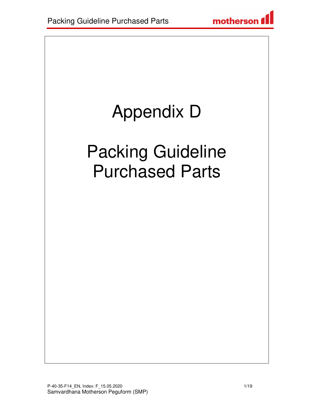# Appendix D

## Packing Guideline Purchased Parts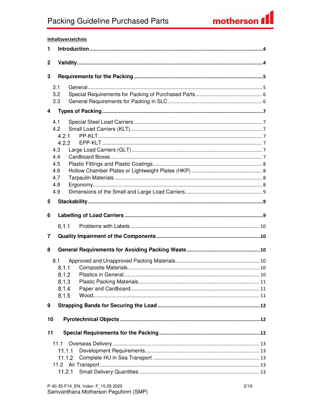#### Inhaltsverzeichnis  $\mathbf{1}$  $\overline{2}$ 3  $3.1$  $3.2$  $3.3$ 4  $4.1$ 42  $4.2.1$  $4.2.2$ 4.3 4.4 4.5 4.6 4.7 4.8 4.9 5 6  $6.1.1$  $\overline{7}$ 8  $8.1$  $8.1.1$ 8.1.2 8.1.3 8.1.4 8.1.5 9  $10$  $11$  $11.1.1$  $11.2.1$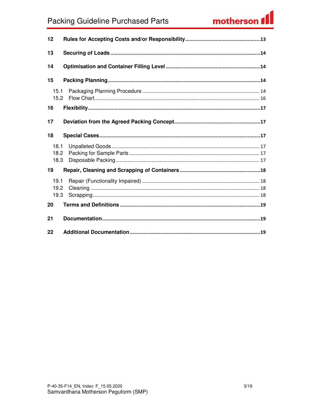### **Packing Guideline Purchased Parts**

### motherson f

| 12                   |  |
|----------------------|--|
| 13                   |  |
| 14                   |  |
| 15                   |  |
| 15.1<br>15.2         |  |
| 16                   |  |
| 17                   |  |
| 18                   |  |
| 18.1<br>18.2<br>18.3 |  |
| 19                   |  |
| 19.1<br>19.2<br>19.3 |  |
| 20                   |  |
| 21                   |  |
| 22                   |  |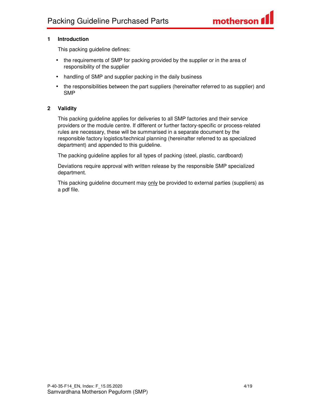#### **1 Introduction**

This packing guideline defines:

- the requirements of SMP for packing provided by the supplier or in the area of responsibility of the supplier
- handling of SMP and supplier packing in the daily business
- the responsibilities between the part suppliers (hereinafter referred to as supplier) and SMP

#### **2 Validity**

This packing guideline applies for deliveries to all SMP factories and their service providers or the module centre. If different or further factory-specific or process-related rules are necessary, these will be summarised in a separate document by the responsible factory logistics/technical planning (hereinafter referred to as specialized department) and appended to this guideline.

The packing guideline applies for all types of packing (steel, plastic, cardboard)

Deviations require approval with written release by the responsible SMP specialized department.

This packing guideline document may only be provided to external parties (suppliers) as a pdf file.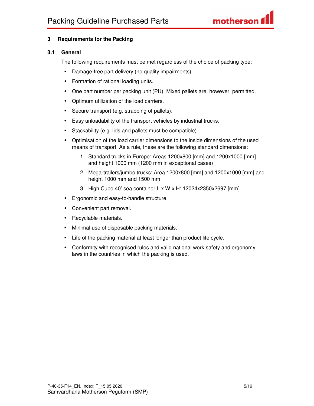#### **3 Requirements for the Packing**

#### **3.1 General**

The following requirements must be met regardless of the choice of packing type:

- Damage-free part delivery (no quality impairments).
- Formation of rational loading units.
- One part number per packing unit (PU). Mixed pallets are, however, permitted.
- Optimum utilization of the load carriers.
- Secure transport (e.g. strapping of pallets).
- Easy unloadability of the transport vehicles by industrial trucks.
- Stackability (e.g. lids and pallets must be compatible).
- Optimisation of the load carrier dimensions to the inside dimensions of the used means of transport. As a rule, these are the following standard dimensions:
	- 1. Standard trucks in Europe: Areas 1200x800 [mm] and 1200x1000 [mm] and height 1000 mm (1200 mm in exceptional cases)
	- 2. Mega-trailers/jumbo trucks: Area 1200x800 [mm] and 1200x1000 [mm] and height 1000 mm and 1500 mm
	- 3. High Cube 40' sea container L x W x H: 12024x2350x2697 [mm]
- Ergonomic and easy-to-handle structure.
- Convenient part removal.
- Recyclable materials.
- Minimal use of disposable packing materials.
- Life of the packing material at least longer than product life cycle.
- Conformity with recognised rules and valid national work safety and ergonomy laws in the countries in which the packing is used.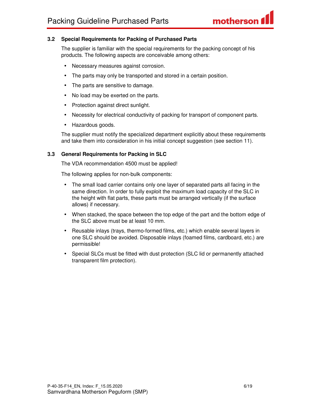#### **3.2 Special Requirements for Packing of Purchased Parts**

The supplier is familiar with the special requirements for the packing concept of his products. The following aspects are conceivable among others:

- Necessary measures against corrosion.
- The parts may only be transported and stored in a certain position.
- The parts are sensitive to damage.
- No load may be exerted on the parts.
- Protection against direct sunlight.
- Necessity for electrical conductivity of packing for transport of component parts.
- Hazardous goods.

The supplier must notify the specialized department explicitly about these requirements and take them into consideration in his initial concept suggestion (see section 11).

#### **3.3 General Requirements for Packing in SLC**

The VDA recommendation 4500 must be applied!

The following applies for non-bulk components:

- The small load carrier contains only one layer of separated parts all facing in the same direction. In order to fully exploit the maximum load capacity of the SLC in the height with flat parts, these parts must be arranged vertically (if the surface allows) if necessary.
- When stacked, the space between the top edge of the part and the bottom edge of the SLC above must be at least 10 mm.
- Reusable inlays (trays, thermo-formed films, etc.) which enable several layers in one SLC should be avoided. Disposable inlays (foamed films, cardboard, etc.) are permissible!
- Special SLCs must be fitted with dust protection (SLC lid or permanently attached transparent film protection).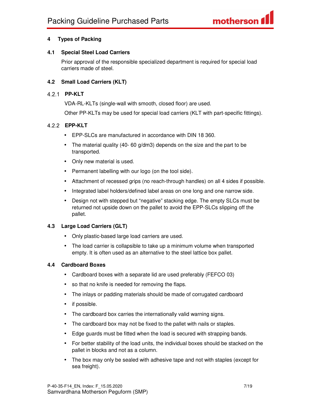#### **4 Types of Packing**

#### **4.1 Special Steel Load Carriers**

Prior approval of the responsible specialized department is required for special load carriers made of steel.

#### **4.2 Small Load Carriers (KLT)**

#### **PP-KLT**

VDA-RL-KLTs (single-wall with smooth, closed floor) are used.

Other PP-KLTs may be used for special load carriers (KLT with part-specific fittings).

#### **EPP-KLT**

- EPP-SLCs are manufactured in accordance with DIN 18 360.
- The material quality (40- 60 g/dm3) depends on the size and the part to be transported.
- Only new material is used.
- Permanent labelling with our logo (on the tool side).
- Attachment of recessed grips (no reach-through handles) on all 4 sides if possible.
- Integrated label holders/defined label areas on one long and one narrow side.
- Design not with stepped but "negative" stacking edge. The empty SLCs must be returned not upside down on the pallet to avoid the EPP-SLCs slipping off the pallet.

#### **4.3 Large Load Carriers (GLT)**

- Only plastic-based large load carriers are used.
- The load carrier is collapsible to take up a minimum volume when transported empty. It is often used as an alternative to the steel lattice box pallet.

#### **4.4 Cardboard Boxes**

- Cardboard boxes with a separate lid are used preferably (FEFCO 03)
- so that no knife is needed for removing the flaps.
- The inlays or padding materials should be made of corrugated cardboard
- if possible.
- The cardboard box carries the internationally valid warning signs.
- The cardboard box may not be fixed to the pallet with nails or staples.
- Edge guards must be fitted when the load is secured with strapping bands.
- For better stability of the load units, the individual boxes should be stacked on the pallet in blocks and not as a column.
- The box may only be sealed with adhesive tape and not with staples (except for sea freight).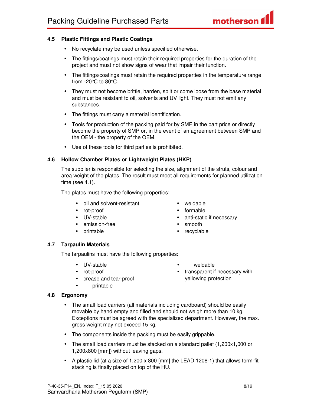- No recyclate may be used unless specified otherwise.
- The fittings/coatings must retain their required properties for the duration of the project and must not show signs of wear that impair their function.
- The fittings/coatings must retain the required properties in the temperature range from -20°C to 80°C.
- They must not become brittle, harden, split or come loose from the base material and must be resistant to oil, solvents and UV light. They must not emit any substances.
- The fittings must carry a material identification.
- Tools for production of the packing paid for by SMP in the part price or directly become the property of SMP or, in the event of an agreement between SMP and the OEM - the property of the OEM.
- Use of these tools for third parties is prohibited.

#### **4.6 Hollow Chamber Plates or Lightweight Plates (HKP)**

The supplier is responsible for selecting the size, alignment of the struts, colour and area weight of the plates. The result must meet all requirements for planned utilization time (see 4.1).

The plates must have the following properties:

- oil and solvent-resistant
- rot-proof
- UV-stable
- emission-free
- printable
- weldable
- formable
- anti-static if necessary
- smooth
- recyclable

#### **4.7 Tarpaulin Materials**

The tarpaulins must have the following properties:

- UV-stable
- rot-proof
- crease and tear-proof
- printable

#### **4.8 Ergonomy**

- The small load carriers (all materials including cardboard) should be easily movable by hand empty and filled and should not weigh more than 10 kg. Exceptions must be agreed with the specialized department. However, the max. gross weight may not exceed 15 kg.
- The components inside the packing must be easily grippable.
- The small load carriers must be stacked on a standard pallet (1,200x1,000 or 1,200x800 [mm]) without leaving gaps.
- A plastic lid (at a size of 1,200 x 800 [mm] the LEAD 1208-1) that allows form-fit stacking is finally placed on top of the HU.

• weldable • transparent if necessary with yellowing protection

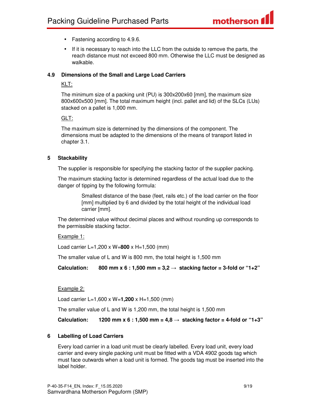- Fastening according to 4.9.6.
- If it is necessary to reach into the LLC from the outside to remove the parts, the reach distance must not exceed 800 mm. Otherwise the LLC must be designed as walkable.

#### **4.9 Dimensions of the Small and Large Load Carriers**

#### KLT:

The minimum size of a packing unit (PU) is 300x200x60 [mm], the maximum size 800x600x500 [mm]. The total maximum height (incl. pallet and lid) of the SLCs (LUs) stacked on a pallet is 1,000 mm.

#### GLT:

The maximum size is determined by the dimensions of the component. The dimensions must be adapted to the dimensions of the means of transport listed in chapter 3.1.

#### **5 Stackability**

The supplier is responsible for specifying the stacking factor of the supplier packing.

The maximum stacking factor is determined regardless of the actual load due to the danger of tipping by the following formula:

> Smallest distance of the base (feet, rails etc.) of the load carrier on the floor [mm] multiplied by 6 and divided by the total height of the individual load carrier [mm].

The determined value without decimal places and without rounding up corresponds to the permissible stacking factor.

#### Example 1:

Load carrier L=1,200 x W=**800** x H=1,500 (mm)

The smaller value of L and W is 800 mm, the total height is 1,500 mm

Calculation: 800 mm x 6 : 1,500 mm =  $3,2 \rightarrow$  stacking factor = 3-fold or "1+2"

#### Example 2:

Load carrier L=1,600 x W=**1,200** x H=1,500 (mm)

The smaller value of L and W is 1,200 mm, the total height is 1,500 mm

**Calculation:** 1200 mm x 6 : 1,500 mm =  $4.8 \rightarrow$  stacking factor = 4-fold or "1+3"

#### **6 Labelling of Load Carriers**

Every load carrier in a load unit must be clearly labelled. Every load unit, every load carrier and every single packing unit must be fitted with a VDA 4902 goods tag which must face outwards when a load unit is formed. The goods tag must be inserted into the label holder.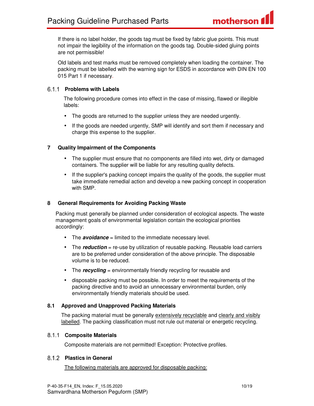If there is no label holder, the goods tag must be fixed by fabric glue points. This must not impair the legibility of the information on the goods tag. Double-sided gluing points are not permissible!

Old labels and test marks must be removed completely when loading the container. The packing must be labelled with the warning sign for ESDS in accordance with DIN EN 100 015 Part 1 if necessary.

### **Problems with Labels**

The following procedure comes into effect in the case of missing, flawed or illegible labels:

- The goods are returned to the supplier unless they are needed urgently.
- If the goods are needed urgently, SMP will identify and sort them if necessary and charge this expense to the supplier.

### **7 Quality Impairment of the Components**

- The supplier must ensure that no components are filled into wet, dirty or damaged containers. The supplier will be liable for any resulting quality defects.
- If the supplier's packing concept impairs the quality of the goods, the supplier must take immediate remedial action and develop a new packing concept in cooperation with SMP.

### **8 General Requirements for Avoiding Packing Waste**

Packing must generally be planned under consideration of ecological aspects. The waste management goals of environmental legislation contain the ecological priorities accordingly:

- The **avoidance** = limited to the immediate necessary level.
- The **reduction** = re-use by utilization of reusable packing. Reusable load carriers are to be preferred under consideration of the above principle. The disposable volume is to be reduced.
- The **recycling** = environmentally friendly recycling for reusable and
- disposable packing must be possible. In order to meet the requirements of the packing directive and to avoid an unnecessary environmental burden, only environmentally friendly materials should be used.

#### **8.1 Approved and Unapproved Packing Materials**

The packing material must be generally extensively recyclable and clearly and visibly labelled. The packing classification must not rule out material or energetic recycling.

#### **Composite Materials**

Composite materials are not permitted! Exception: Protective profiles.

#### **Plastics in General**

The following materials are approved for disposable packing: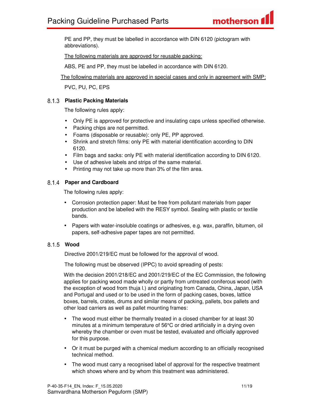PE and PP, they must be labelled in accordance with DIN 6120 (pictogram with abbreviations).

The following materials are approved for reusable packing:

ABS, PE and PP, they must be labelled in accordance with DIN 6120.

The following materials are approved in special cases and only in agreement with SMP:

PVC, PU, PC, EPS

#### **Plastic Packing Materials**

The following rules apply:

- Only PE is approved for protective and insulating caps unless specified otherwise.
- Packing chips are not permitted.
- Foams (disposable or reusable): only PE, PP approved.
- Shrink and stretch films: only PE with material identification according to DIN 6120.
- Film bags and sacks: only PE with material identification according to DIN 6120.
- Use of adhesive labels and strips of the same material.
- Printing may not take up more than 3% of the film area.

#### **Paper and Cardboard**

The following rules apply:

- Corrosion protection paper: Must be free from pollutant materials from paper production and be labelled with the RESY symbol. Sealing with plastic or textile bands.
- Papers with water-insoluble coatings or adhesives, e.g. wax, paraffin, bitumen, oil papers, self-adhesive paper tapes are not permitted.

#### **Wood**

Directive 2001/219/EC must be followed for the approval of wood.

The following must be observed (IPPC) to avoid spreading of pests:

With the decision 2001/218/EC and 2001/219/EC of the EC Commission, the following applies for packing wood made wholly or partly from untreated coniferous wood (with the exception of wood from thuja l.) and originating from Canada, China, Japan, USA and Portugal and used or to be used in the form of packing cases, boxes, lattice boxes, barrels, crates, drums and similar means of packing, pallets, box pallets and other load carriers as well as pallet mounting frames:

- The wood must either be thermally treated in a closed chamber for at least 30 minutes at a minimum temperature of 56°C or dried artificially in a drying oven whereby the chamber or oven must be tested, evaluated and officially approved for this purpose.
- Or it must be purged with a chemical medium according to an officially recognised technical method.
- The wood must carry a recognised label of approval for the respective treatment which shows where and by whom this treatment was administered.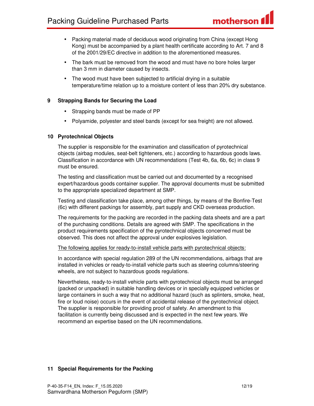- Packing material made of deciduous wood originating from China (except Hong Kong) must be accompanied by a plant health certificate according to Art. 7 and 8 of the 2001/29/EC directive in addition to the aforementioned measures.
- The bark must be removed from the wood and must have no bore holes larger than 3 mm in diameter caused by insects.
- The wood must have been subjected to artificial drying in a suitable temperature/time relation up to a moisture content of less than 20% dry substance.

#### **9 Strapping Bands for Securing the Load**

- Strapping bands must be made of PP
- Polyamide, polyester and steel bands (except for sea freight) are not allowed.

#### **10 Pyrotechnical Objects**

The supplier is responsible for the examination and classification of pyrotechnical objects (airbag modules, seat-belt tighteners, etc.) according to hazardous goods laws. Classification in accordance with UN recommendations (Test 4b, 6a, 6b, 6c) in class 9 must be ensured.

The testing and classification must be carried out and documented by a recognised expert/hazardous goods container supplier. The approval documents must be submitted to the appropriate specialized department at SMP.

Testing and classification take place, among other things, by means of the Bonfire-Test (6c) with different packings for assembly, part supply and CKD overseas production.

The requirements for the packing are recorded in the packing data sheets and are a part of the purchasing conditions. Details are agreed with SMP. The specifications in the product requirements specification of the pyrotechnical objects concerned must be observed. This does not affect the approval under explosives legislation.

#### The following applies for ready-to-install vehicle parts with pyrotechnical objects:

In accordance with special regulation 289 of the UN recommendations, airbags that are installed in vehicles or ready-to-install vehicle parts such as steering columns/steering wheels, are not subject to hazardous goods regulations.

Nevertheless, ready-to-install vehicle parts with pyrotechnical objects must be arranged (packed or unpacked) in suitable handling devices or in specially equipped vehicles or large containers in such a way that no additional hazard (such as splinters, smoke, heat, fire or loud noise) occurs in the event of accidental release of the pyrotechnical object. The supplier is responsible for providing proof of safety. An amendment to this facilitation is currently being discussed and is expected in the next few years. We recommend an expertise based on the UN recommendations.

#### **11 Special Requirements for the Packing**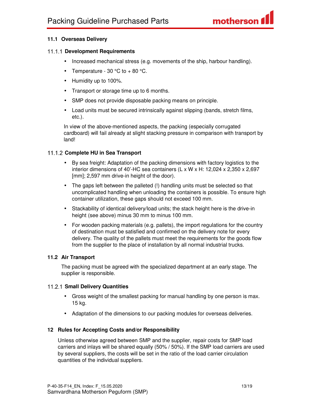#### **11.1 Overseas Delivery**

#### **Development Requirements**

- Increased mechanical stress (e.g. movements of the ship, harbour handling).
- Temperature  $30^{\circ}$ C to +  $80^{\circ}$ C.
- Humidity up to 100%.
- Transport or storage time up to 6 months.
- SMP does not provide disposable packing means on principle.
- Load units must be secured intrinsically against slipping (bands, stretch films, etc.).

In view of the above-mentioned aspects, the packing (especially corrugated cardboard) will fail already at slight stacking pressure in comparison with transport by land!

#### **Complete HU in Sea Transport**

- By sea freight: Adaptation of the packing dimensions with factory logistics to the interior dimensions of 40'-HC sea containers (L x W x H: 12,024 x 2,350 x 2,697 [mm]; 2,597 mm drive-in height of the door).
- The gaps left between the palleted (!) handling units must be selected so that uncomplicated handling when unloading the containers is possible. To ensure high container utilization, these gaps should not exceed 100 mm.
- Stackability of identical delivery/load units; the stack height here is the drive-in height (see above) minus 30 mm to minus 100 mm.
- For wooden packing materials (e.g. pallets), the import regulations for the country of destination must be satisfied and confirmed on the delivery note for every delivery. The quality of the pallets must meet the requirements for the goods flow from the supplier to the place of installation by all normal industrial trucks.

#### **11.2 Air Transport**

The packing must be agreed with the specialized department at an early stage. The supplier is responsible.

#### **Small Delivery Quantities**

- Gross weight of the smallest packing for manual handling by one person is max. 15 kg.
- Adaptation of the dimensions to our packing modules for overseas deliveries.

#### **12 Rules for Accepting Costs and/or Responsibility**

Unless otherwise agreed between SMP and the supplier, repair costs for SMP load carriers and inlays will be shared equally (50% / 50%). If the SMP load carriers are used by several suppliers, the costs will be set in the ratio of the load carrier circulation quantities of the individual suppliers.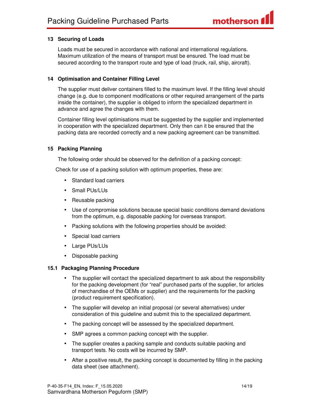#### **13 Securing of Loads**

Loads must be secured in accordance with national and international regulations. Maximum utilization of the means of transport must be ensured. The load must be secured according to the transport route and type of load (truck, rail, ship, aircraft).

#### **14 Optimisation and Container Filling Level**

The supplier must deliver containers filled to the maximum level. If the filling level should change (e.g. due to component modifications or other required arrangement of the parts inside the container), the supplier is obliged to inform the specialized department in advance and agree the changes with them.

Container filling level optimisations must be suggested by the supplier and implemented in cooperation with the specialized department. Only then can it be ensured that the packing data are recorded correctly and a new packing agreement can be transmitted.

#### **15 Packing Planning**

The following order should be observed for the definition of a packing concept:

Check for use of a packing solution with optimum properties, these are:

- Standard load carriers
- Small PUs/LUs
- Reusable packing
- Use of compromise solutions because special basic conditions demand deviations from the optimum, e.g. disposable packing for overseas transport.
- Packing solutions with the following properties should be avoided:
- Special load carriers
- Large PUs/LUs
- Disposable packing

#### **15.1 Packaging Planning Procedure**

- The supplier will contact the specialized department to ask about the responsibility for the packing development (for "real" purchased parts of the supplier, for articles of merchandise of the OEMs or supplier) and the requirements for the packing (product requirement specification).
- The supplier will develop an initial proposal (or several alternatives) under consideration of this guideline and submit this to the specialized department.
- The packing concept will be assessed by the specialized department.
- SMP agrees a common packing concept with the supplier.
- The supplier creates a packing sample and conducts suitable packing and transport tests. No costs will be incurred by SMP.
- After a positive result, the packing concept is documented by filling in the packing data sheet (see attachment).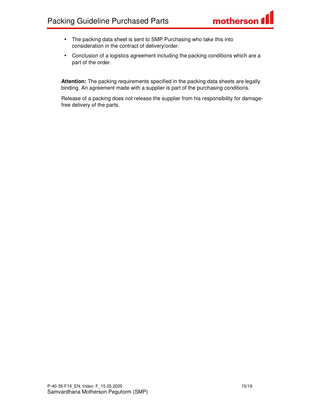- The packing data sheet is sent to SMP Purchasing who take this into consideration in the contract of delivery/order.
- Conclusion of a logistics agreement including the packing conditions which are a part of the order.

**Attention:** The packing requirements specified in the packing data sheets are legally binding. An agreement made with a supplier is part of the purchasing conditions.

Release of a packing does not release the supplier from his responsibility for damagefree delivery of the parts.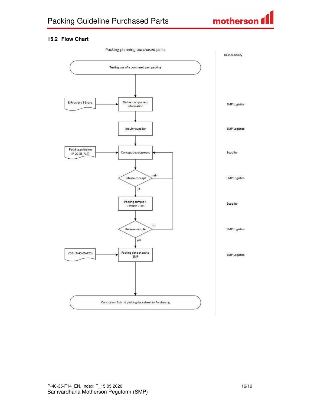

#### **15.2 Flow Chart**

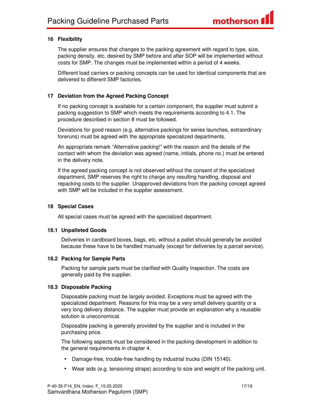#### **16 Flexibility**

The supplier ensures that changes to the packing agreement with regard to type, size, packing density, etc. desired by SMP before and after SOP will be implemented without costs for SMP. The changes must be implemented within a period of 4 weeks.

Different load carriers or packing concepts can be used for identical components that are delivered to different SMP factories.

#### **17 Deviation from the Agreed Packing Concept**

If no packing concept is available for a certain component, the supplier must submit a packing suggestion to SMP which meets the requirements according to 4.1. The procedure described in section 8 must be followed.

Deviations for good reason (e.g. alternative packings for series launches, extraordinary foreruns) must be agreed with the appropriate specialized departments.

An appropriate remark "Alternative packing!" with the reason and the details of the contact with whom the deviation was agreed (name, initials, phone no.) must be entered in the delivery note.

If the agreed packing concept is not observed without the consent of the specialized department, SMP reserves the right to charge any resulting handling, disposal and repacking costs to the supplier. Unapproved deviations from the packing concept agreed with SMP will be included in the supplier assessment.

#### **18 Special Cases**

All special cases must be agreed with the specialized department.

#### **18.1 Unpalleted Goods**

Deliveries in cardboard boxes, bags, etc. without a pallet should generally be avoided because these have to be handled manually (except for deliveries by a parcel service).

#### **18.2 Packing for Sample Parts**

Packing for sample parts must be clarified with Quality Inspection. The costs are generally paid by the supplier.

#### **18.3 Disposable Packing**

Disposable packing must be largely avoided. Exceptions must be agreed with the specialized department. Reasons for this may be a very small delivery quantity or a very long delivery distance. The supplier must provide an explanation why a reusable solution is uneconomical.

Disposable packing is generally provided by the supplier and is included in the purchasing price.

The following aspects must be considered in the packing development in addition to the general requirements in chapter 4.

- Damage-free, trouble-free handling by industrial trucks (DIN 15140).
- Wear aids (e.g. tensioning straps) according to size and weight of the packing unit.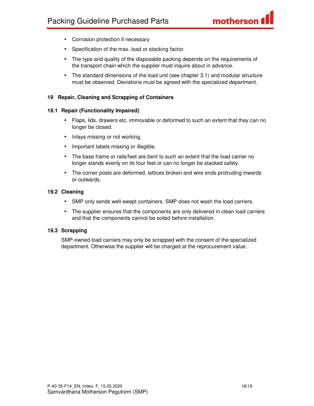- Corrosion protection if necessary
- Specification of the max. load or stacking factor.
- The type and quality of the disposable packing depends on the requirements of the transport chain which the supplier must inquire about in advance.
- The standard dimensions of the load unit (see chapter 3.1) and modular structure must be observed. Deviations must be agreed with the specialized department.

#### **19 Repair, Cleaning and Scrapping of Containers**

#### **19.1 Repair (Functionality Impaired)**

- Flaps, lids, drawers etc. immovable or deformed to such an extent that they can no longer be closed.
- Inlays missing or not working.
- Important labels missing or illegible.
- The base frame or rails/feet are bent to such an extent that the load carrier no longer stands evenly on its four feet or can no longer be stacked safely.
- The corner posts are deformed, lattices broken and wire ends protruding inwards or outwards.

#### **19.2 Cleaning**

- SMP only sends well-swept containers. SMP does not wash the load carriers.
- The supplier ensures that the components are only delivered in clean load carriers and that the components cannot be soiled before installation.

#### **19.3 Scrapping**

SMP-owned load carriers may only be scrapped with the consent of the specialized department. Otherwise the supplier will be charged at the reprocurement value.